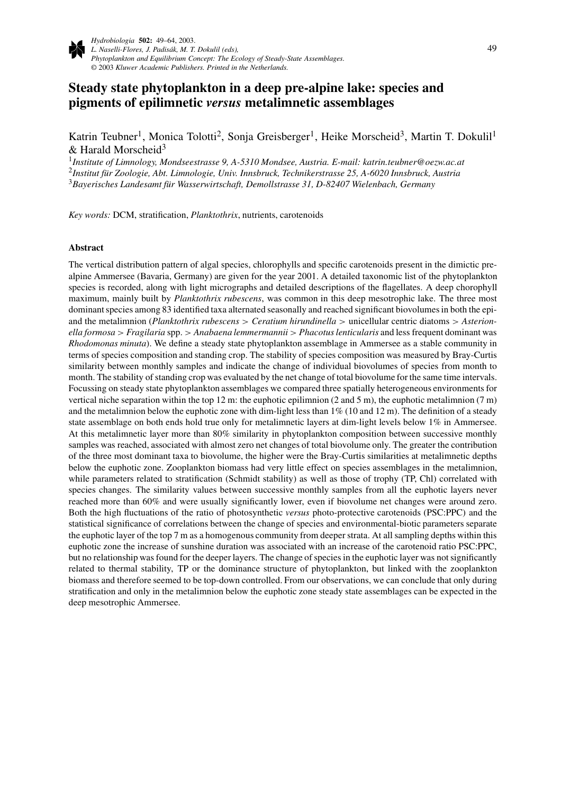

# **Steady state phytoplankton in a deep pre-alpine lake: species and pigments of epilimnetic** *versus* **metalimnetic assemblages**

Katrin Teubner<sup>1</sup>, Monica Tolotti<sup>2</sup>, Sonja Greisberger<sup>1</sup>, Heike Morscheid<sup>3</sup>, Martin T. Dokulil<sup>1</sup> & Harald Morscheid<sup>3</sup>

<sup>1</sup>*Institute of Limnology, Mondseestrasse 9, A-5310 Mondsee, Austria. E-mail: katrin.teubner@oezw.ac.at* <sup>2</sup>*Institut für Zoologie, Abt. Limnologie, Univ. Innsbruck, Technikerstrasse 25, A-6020 Innsbruck, Austria* <sup>3</sup>*Bayerisches Landesamt für Wasserwirtschaft, Demollstrasse 31, D-82407 Wielenbach, Germany*

*Key words:* DCM, stratification, *Planktothrix*, nutrients, carotenoids

#### **Abstract**

The vertical distribution pattern of algal species, chlorophylls and specific carotenoids present in the dimictic prealpine Ammersee (Bavaria, Germany) are given for the year 2001. A detailed taxonomic list of the phytoplankton species is recorded, along with light micrographs and detailed descriptions of the flagellates. A deep chorophyll maximum, mainly built by *Planktothrix rubescens*, was common in this deep mesotrophic lake. The three most dominant species among 83 identified taxa alternated seasonally and reached significant biovolumes in both the epiand the metalimnion (*Planktothrix rubescens > Ceratium hirundinella >* unicellular centric diatoms *> Asterionella formosa > Fragilaria* spp. *> Anabaena lemmermannii > Phacotus lenticularis* and less frequent dominant was *Rhodomonas minuta*). We define a steady state phytoplankton assemblage in Ammersee as a stable community in terms of species composition and standing crop. The stability of species composition was measured by Bray-Curtis similarity between monthly samples and indicate the change of individual biovolumes of species from month to month. The stability of standing crop was evaluated by the net change of total biovolume for the same time intervals. Focussing on steady state phytoplankton assemblages we compared three spatially heterogeneous environments for vertical niche separation within the top 12 m: the euphotic epilimnion (2 and 5 m), the euphotic metalimnion (7 m) and the metalimnion below the euphotic zone with dim-light less than  $1\%$  (10 and 12 m). The definition of a steady state assemblage on both ends hold true only for metalimnetic layers at dim-light levels below 1% in Ammersee. At this metalimnetic layer more than 80% similarity in phytoplankton composition between successive monthly samples was reached, associated with almost zero net changes of total biovolume only. The greater the contribution of the three most dominant taxa to biovolume, the higher were the Bray-Curtis similarities at metalimnetic depths below the euphotic zone. Zooplankton biomass had very little effect on species assemblages in the metalimnion, while parameters related to stratification (Schmidt stability) as well as those of trophy (TP, Chl) correlated with species changes. The similarity values between successive monthly samples from all the euphotic layers never reached more than 60% and were usually significantly lower, even if biovolume net changes were around zero. Both the high fluctuations of the ratio of photosynthetic *versus* photo-protective carotenoids (PSC:PPC) and the statistical significance of correlations between the change of species and environmental-biotic parameters separate the euphotic layer of the top 7 m as a homogenous community from deeper strata. At all sampling depths within this euphotic zone the increase of sunshine duration was associated with an increase of the carotenoid ratio PSC:PPC, but no relationship was found for the deeper layers. The change of species in the euphotic layer was not significantly related to thermal stability, TP or the dominance structure of phytoplankton, but linked with the zooplankton biomass and therefore seemed to be top-down controlled. From our observations, we can conclude that only during stratification and only in the metalimnion below the euphotic zone steady state assemblages can be expected in the deep mesotrophic Ammersee.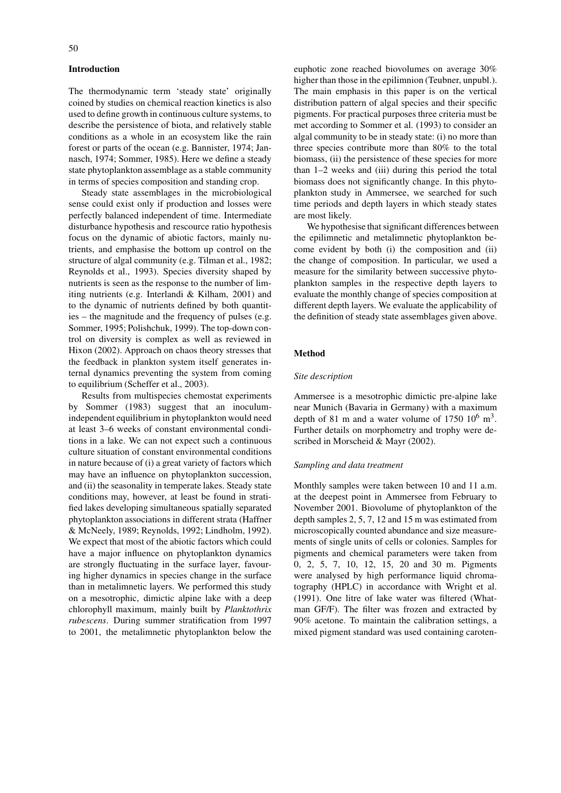### **Introduction**

The thermodynamic term 'steady state' originally coined by studies on chemical reaction kinetics is also used to define growth in continuous culture systems, to describe the persistence of biota, and relatively stable conditions as a whole in an ecosystem like the rain forest or parts of the ocean (e.g. Bannister, 1974; Jannasch, 1974; Sommer, 1985). Here we define a steady state phytoplankton assemblage as a stable community in terms of species composition and standing crop.

Steady state assemblages in the microbiological sense could exist only if production and losses were perfectly balanced independent of time. Intermediate disturbance hypothesis and rescource ratio hypothesis focus on the dynamic of abiotic factors, mainly nutrients, and emphasise the bottom up control on the structure of algal community (e.g. Tilman et al., 1982; Reynolds et al., 1993). Species diversity shaped by nutrients is seen as the response to the number of limiting nutrients (e.g. Interlandi & Kilham, 2001) and to the dynamic of nutrients defined by both quantities – the magnitude and the frequency of pulses (e.g. Sommer, 1995; Polishchuk, 1999). The top-down control on diversity is complex as well as reviewed in Hixon (2002). Approach on chaos theory stresses that the feedback in plankton system itself generates internal dynamics preventing the system from coming to equilibrium (Scheffer et al., 2003).

Results from multispecies chemostat experiments by Sommer (1983) suggest that an inoculumindependent equilibrium in phytoplankton would need at least 3–6 weeks of constant environmental conditions in a lake. We can not expect such a continuous culture situation of constant environmental conditions in nature because of (i) a great variety of factors which may have an influence on phytoplankton succession, and (ii) the seasonality in temperate lakes. Steady state conditions may, however, at least be found in stratified lakes developing simultaneous spatially separated phytoplankton associations in different strata (Haffner & McNeely, 1989; Reynolds, 1992; Lindholm, 1992). We expect that most of the abiotic factors which could have a major influence on phytoplankton dynamics are strongly fluctuating in the surface layer, favouring higher dynamics in species change in the surface than in metalimnetic layers. We performed this study on a mesotrophic, dimictic alpine lake with a deep chlorophyll maximum, mainly built by *Planktothrix rubescens*. During summer stratification from 1997 to 2001, the metalimnetic phytoplankton below the

euphotic zone reached biovolumes on average 30% higher than those in the epilimnion (Teubner, unpubl.). The main emphasis in this paper is on the vertical distribution pattern of algal species and their specific pigments. For practical purposes three criteria must be met according to Sommer et al. (1993) to consider an algal community to be in steady state: (i) no more than three species contribute more than 80% to the total biomass, (ii) the persistence of these species for more than 1–2 weeks and (iii) during this period the total biomass does not significantly change. In this phytoplankton study in Ammersee, we searched for such time periods and depth layers in which steady states are most likely.

We hypothesise that significant differences between the epilimnetic and metalimnetic phytoplankton become evident by both (i) the composition and (ii) the change of composition. In particular, we used a measure for the similarity between successive phytoplankton samples in the respective depth layers to evaluate the monthly change of species composition at different depth layers. We evaluate the applicability of the definition of steady state assemblages given above.

### **Method**

### *Site description*

Ammersee is a mesotrophic dimictic pre-alpine lake near Munich (Bavaria in Germany) with a maximum depth of 81 m and a water volume of 1750  $10^6$  m<sup>3</sup>. Further details on morphometry and trophy were described in Morscheid & Mayr (2002).

### *Sampling and data treatment*

Monthly samples were taken between 10 and 11 a.m. at the deepest point in Ammersee from February to November 2001. Biovolume of phytoplankton of the depth samples 2, 5, 7, 12 and 15 m was estimated from microscopically counted abundance and size measurements of single units of cells or colonies. Samples for pigments and chemical parameters were taken from 0, 2, 5, 7, 10, 12, 15, 20 and 30 m. Pigments were analysed by high performance liquid chromatography (HPLC) in accordance with Wright et al. (1991). One litre of lake water was filtered (Whatman GF/F). The filter was frozen and extracted by 90% acetone. To maintain the calibration settings, a mixed pigment standard was used containing caroten-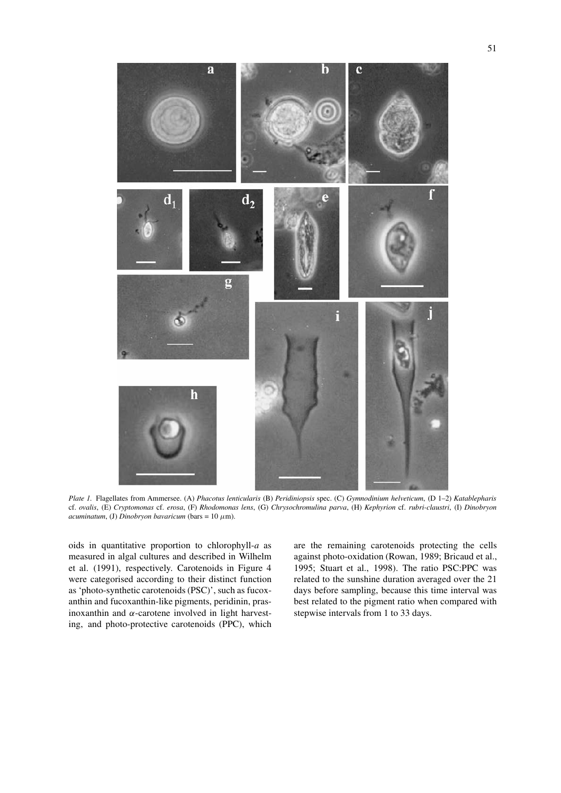

*Plate 1.* Flagellates from Ammersee. (A) *Phacotus lenticularis* (B) *Peridiniopsis* spec. (C) *Gymnodinium helveticum*, (D 1–2) *Katablepharis* cf. *ovalis*, (E) *Cryptomonas* cf. *erosa*, (F) *Rhodomonas lens*, (G) *Chrysochromulina parva*, (H) *Kephyrion* cf. *rubri-claustri*, (I) *Dinobryon acuminatum*, (J) *Dinobryon bavaricum* (bars = 10 *µ*m).

oids in quantitative proportion to chlorophyll-*a* as measured in algal cultures and described in Wilhelm et al. (1991), respectively. Carotenoids in Figure 4 were categorised according to their distinct function as 'photo-synthetic carotenoids (PSC)', such as fucoxanthin and fucoxanthin-like pigments, peridinin, prasinoxanthin and *α*-carotene involved in light harvesting, and photo-protective carotenoids (PPC), which are the remaining carotenoids protecting the cells against photo-oxidation (Rowan, 1989; Bricaud et al., 1995; Stuart et al., 1998). The ratio PSC:PPC was related to the sunshine duration averaged over the 21 days before sampling, because this time interval was best related to the pigment ratio when compared with stepwise intervals from 1 to 33 days.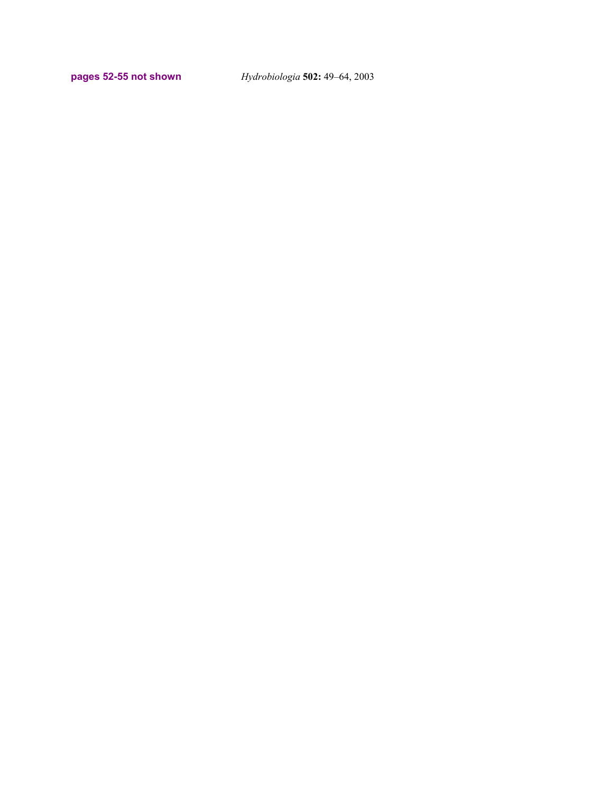**pages 52-55 not shown** *Hydrobiologia* **502:** 49–64, 2003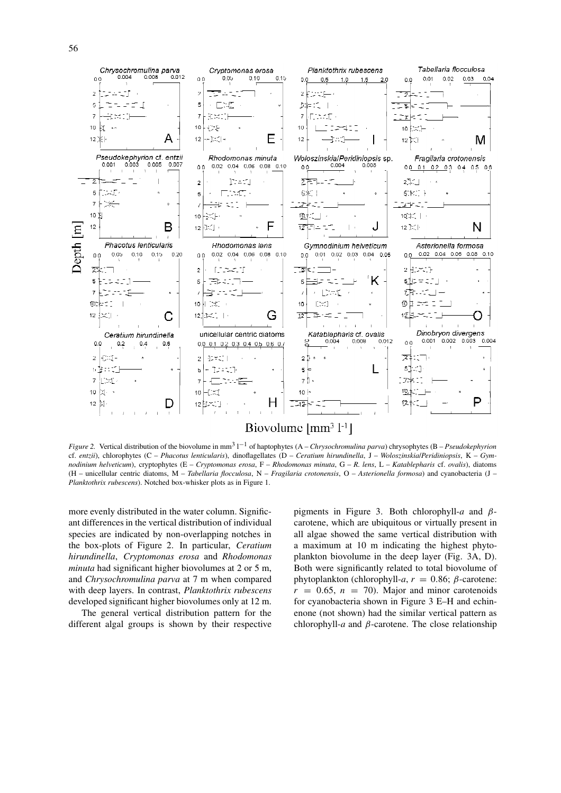

lost

12月二十

 $J:Z$ 

**DECK** 

 $10<sup>10</sup>$ 

 $\overline{2}$ 

5

 $\overline{7}$  $\sqrt{2}$ 

 $10$  -  $\sim$   $\sim$ 

12郎本1

Ć

 $0.6$ 

D

Ceratium hirundinella

 $0.2 0.4$ 

*Figure 2.* Vertical distribution of the biovolume in mm<sup>3</sup> l <sup>−</sup><sup>1</sup> of haptophytes (A – *Chrysochromulina parva*) chrysophytes (B – *Pseudokephyrion* cf. *entzii*), chlorophytes (C – *Phacotus lenticularis*), dinoflagellates (D – *Ceratium hirundinella*,J– *Woloszinskia*/*Peridiniopsis*,K– *Gymnodinium helveticum*), cryptophytes (E – *Cryptomonas erosa*,F– *Rhodomonas minuta*,G– *R. lens*,L– *Katablepharis* cf. *ovalis*), diatoms (H – unicellular centric diatoms, M – *Tabellaria flocculosa*,N– *Fragilaria crotonensis*,O– *Asterionella formosa*) and cyanobacteria (J – *Planktothrix rubescens*). Notched box-whisker plots as in Figure 1.

 $[...]$ 

 $1 - i = -1$ 

Katablepharis cf. ovalis  $0.004$ 

0.008

 $0.012$ 

L

10

1215 로

?】

 $5<sup>1</sup>$ 

711

 $10<sup>1</sup>$ 

12

Biovolume  $\text{[mm}^3 \, 1^{-1}$ 

G

Н

unicellular centric diatoms

 $0.0 \t0.1 \t0.2 \t0.3 \t0.4 \t0.5 \t0.6 \t0.7$ 

rig

 $\ddot{x}$ 

more evenly distributed in the water column. Significant differences in the vertical distribution of individual species are indicated by non-overlapping notches in the box-plots of Figure 2. In particular, *Ceratium hirundinella*, *Cryptomonas erosa* and *Rhodomonas minuta* had significant higher biovolumes at 2 or 5 m, and *Chrysochromulina parva* at 7 m when compared with deep layers. In contrast, *Planktothrix rubescens* developed significant higher biovolumes only at 12 m.

The general vertical distribution pattern for the different algal groups is shown by their respective pigments in Figure 3. Both chlorophyll-*a* and *β*carotene, which are ubiquitous or virtually present in all algae showed the same vertical distribution with a maximum at 10 m indicating the highest phytoplankton biovolume in the deep layer (Fig. 3A, D). Both were significantly related to total biovolume of phytoplankton (chlorophyll-*a*,  $r = 0.86$ ;  $\beta$ -carotene:  $r = 0.65$ ,  $n = 70$ ). Major and minor carotenoids for cyanobacteria shown in Figure 3 E–H and echinenone (not shown) had the similar vertical pattern as chlorophyll-*a* and *β*-carotene. The close relationship

 $\overline{0}$ 

าร†≠

 $0<sub>0</sub>$  $\overline{z}$ 

 $5 \times 1$ 

 $\mathcal{I}$ 

10 F

123

 $0.02 0.03$   $0.04$ 

M

N

∩

P

0.004

Dinobryon divergens

0.002 0.003

 $0.001$ 

তা≍া

 $12 \pm 1$ 

 $0<sub>0</sub>$ 

 $\overline{2}$ 

 $5<sup>1</sup>$ 

 $\bar{7}$ bit

 $10$ 

 $12$ 関.

⊦ba⊱

ŀ×۱.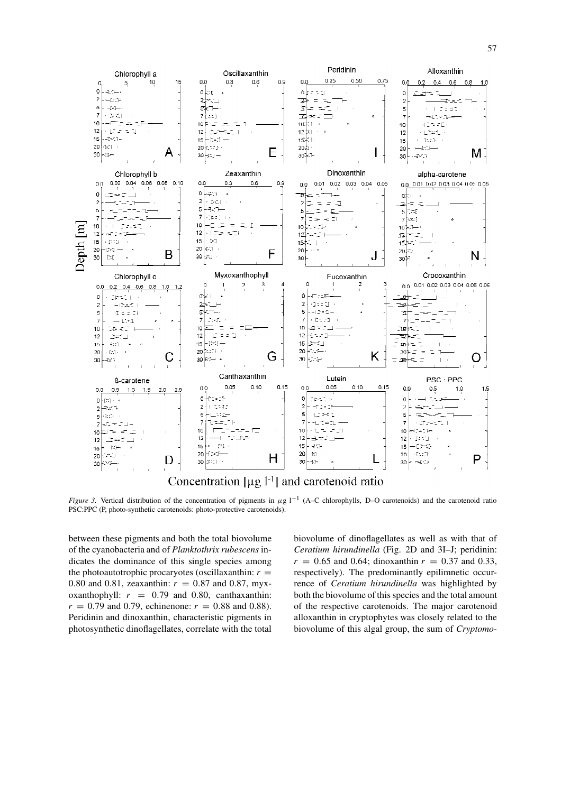

# Concentration  $\mu$ g l<sup>-1</sup> and carotenoid ratio

*Figure 3.* Vertical distribution of the concentration of pigments in  $\mu$ g l<sup>−1</sup> (A–C chlorophylls, D–O carotenoids) and the carotenoid ratio PSC:PPC (P, photo-synthetic carotenoids: photo-protective carotenoids).

between these pigments and both the total biovolume of the cyanobacteria and of *Planktothrix rubescens* indicates the dominance of this single species among the photoautotrophic procaryotes (oscillaxanthin:  $r =$ 0.80 and 0.81, zeaxanthin:  $r = 0.87$  and 0.87, myxoxanthophyll:  $r = 0.79$  and 0.80, canthaxanthin:  $r = 0.79$  and 0.79, echinenone:  $r = 0.88$  and 0.88). Peridinin and dinoxanthin, characteristic pigments in photosynthetic dinoflagellates, correlate with the total

biovolume of dinoflagellates as well as with that of *Ceratium hirundinella* (Fig. 2D and 3I–J; peridinin:  $r = 0.65$  and 0.64; dinoxanthin  $r = 0.37$  and 0.33, respectively). The predominantly epilimnetic occurrence of *Ceratium hirundinella* was highlighted by both the biovolume of this species and the total amount of the respective carotenoids. The major carotenoid alloxanthin in cryptophytes was closely related to the biovolume of this algal group, the sum of *Cryptomo-*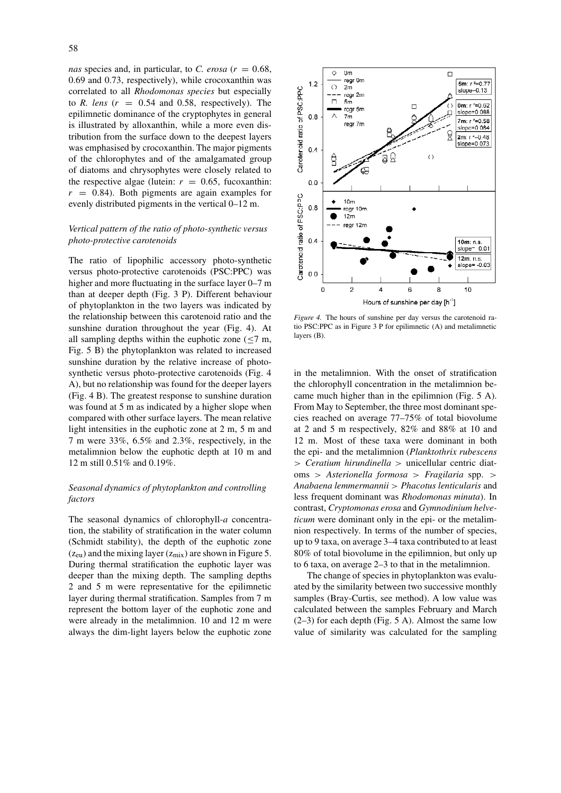*nas* species and, in particular, to *C. erosa* ( $r = 0.68$ , 0.69 and 0.73, respectively), while crocoxanthin was correlated to all *Rhodomonas species* but especially to *R. lens*  $(r = 0.54$  and 0.58, respectively). The epilimnetic dominance of the cryptophytes in general is illustrated by alloxanthin, while a more even distribution from the surface down to the deepest layers was emphasised by crocoxanthin. The major pigments of the chlorophytes and of the amalgamated group of diatoms and chrysophytes were closely related to the respective algae (lutein:  $r = 0.65$ , fucoxanthin:  $r = 0.84$ . Both pigments are again examples for evenly distributed pigments in the vertical 0–12 m.

### *Vertical pattern of the ratio of photo-synthetic versus photo-protective carotenoids*

The ratio of lipophilic accessory photo-synthetic versus photo-protective carotenoids (PSC:PPC) was higher and more fluctuating in the surface layer 0–7 m than at deeper depth (Fig. 3 P). Different behaviour of phytoplankton in the two layers was indicated by the relationship between this carotenoid ratio and the sunshine duration throughout the year (Fig. 4). At all sampling depths within the euphotic zone ( $\leq$ 7 m, Fig. 5 B) the phytoplankton was related to increased sunshine duration by the relative increase of photosynthetic versus photo-protective carotenoids (Fig. 4 A), but no relationship was found for the deeper layers (Fig. 4 B). The greatest response to sunshine duration was found at 5 m as indicated by a higher slope when compared with other surface layers. The mean relative light intensities in the euphotic zone at 2 m, 5 m and 7 m were 33%, 6.5% and 2.3%, respectively, in the metalimnion below the euphotic depth at 10 m and 12 m still 0.51% and 0.19%.

## *Seasonal dynamics of phytoplankton and controlling factors*

The seasonal dynamics of chlorophyll-*a* concentration, the stability of stratification in the water column (Schmidt stability), the depth of the euphotic zone  $(z_{\text{eu}})$  and the mixing layer  $(z_{\text{mix}})$  are shown in Figure 5. During thermal stratification the euphotic layer was deeper than the mixing depth. The sampling depths 2 and 5 m were representative for the epilimnetic layer during thermal stratification. Samples from 7 m represent the bottom layer of the euphotic zone and were already in the metalimnion. 10 and 12 m were always the dim-light layers below the euphotic zone



*Figure 4.* The hours of sunshine per day versus the carotenoid ratio PSC:PPC as in Figure 3 P for epilimnetic (A) and metalimnetic layers (B).

in the metalimnion. With the onset of stratification the chlorophyll concentration in the metalimnion became much higher than in the epilimnion (Fig. 5 A). From May to September, the three most dominant species reached on average 77–75% of total biovolume at 2 and 5 m respectively, 82% and 88% at 10 and 12 m. Most of these taxa were dominant in both the epi- and the metalimnion (*Planktothrix rubescens > Ceratium hirundinella >* unicellular centric diatoms *> Asterionella formosa > Fragilaria* spp. *> Anabaena lemmermannii > Phacotus lenticularis* and less frequent dominant was *Rhodomonas minuta*). In contrast, *Cryptomonas erosa* and *Gymnodinium helveticum* were dominant only in the epi- or the metalimnion respectively. In terms of the number of species, up to 9 taxa, on average 3–4 taxa contributed to at least 80% of total biovolume in the epilimnion, but only up to 6 taxa, on average 2–3 to that in the metalimnion.

The change of species in phytoplankton was evaluated by the similarity between two successive monthly samples (Bray-Curtis, see method). A low value was calculated between the samples February and March  $(2-3)$  for each depth (Fig. 5 A). Almost the same low value of similarity was calculated for the sampling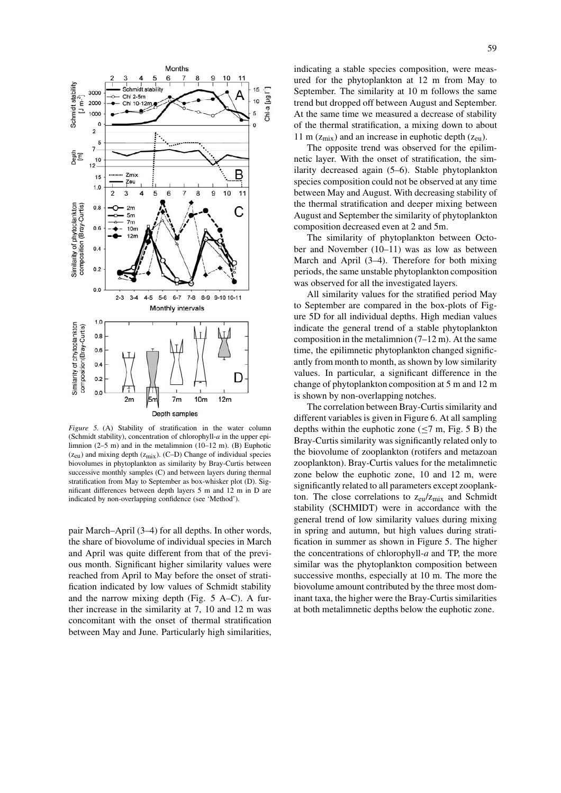

*Figure 5.* (A) Stability of stratification in the water column (Schmidt stability), concentration of chlorophyll-*a* in the upper epilimnion (2–5 m) and in the metalimnion (10–12 m). (B) Euphotic  $(z_{\text{eu}})$  and mixing depth  $(z_{\text{mix}})$ . (C–D) Change of individual species biovolumes in phytoplankton as similarity by Bray-Curtis between successive monthly samples (C) and between layers during thermal stratification from May to September as box-whisker plot (D). Significant differences between depth layers 5 m and 12 m in D are indicated by non-overlapping confidence (see 'Method').

pair March–April (3–4) for all depths. In other words, the share of biovolume of individual species in March and April was quite different from that of the previous month. Significant higher similarity values were reached from April to May before the onset of stratification indicated by low values of Schmidt stability and the narrow mixing depth (Fig. 5 A–C). A further increase in the similarity at 7, 10 and 12 m was concomitant with the onset of thermal stratification between May and June. Particularly high similarities,

The opposite trend was observed for the epilimnetic layer. With the onset of stratification, the similarity decreased again (5–6). Stable phytoplankton species composition could not be observed at any time between May and August. With decreasing stability of the thermal stratification and deeper mixing between August and September the similarity of phytoplankton composition decreased even at 2 and 5m.

The similarity of phytoplankton between October and November (10–11) was as low as between March and April (3–4). Therefore for both mixing periods, the same unstable phytoplankton composition was observed for all the investigated layers.

All similarity values for the stratified period May to September are compared in the box-plots of Figure 5D for all individual depths. High median values indicate the general trend of a stable phytoplankton composition in the metalimnion  $(7-12 \text{ m})$ . At the same time, the epilimnetic phytoplankton changed significantly from month to month, as shown by low similarity values. In particular, a significant difference in the change of phytoplankton composition at 5 m and 12 m is shown by non-overlapping notches.

The correlation between Bray-Curtis similarity and different variables is given in Figure 6. At all sampling depths within the euphotic zone  $(< 7 \text{ m}$ , Fig. 5 B) the Bray-Curtis similarity was significantly related only to the biovolume of zooplankton (rotifers and metazoan zooplankton). Bray-Curtis values for the metalimnetic zone below the euphotic zone, 10 and 12 m, were significantly related to all parameters except zooplankton. The close correlations to  $z_{eu}/z_{mix}$  and Schmidt stability (SCHMIDT) were in accordance with the general trend of low similarity values during mixing in spring and autumn, but high values during stratification in summer as shown in Figure 5. The higher the concentrations of chlorophyll-*a* and TP, the more similar was the phytoplankton composition between successive months, especially at 10 m. The more the biovolume amount contributed by the three most dominant taxa, the higher were the Bray-Curtis similarities at both metalimnetic depths below the euphotic zone.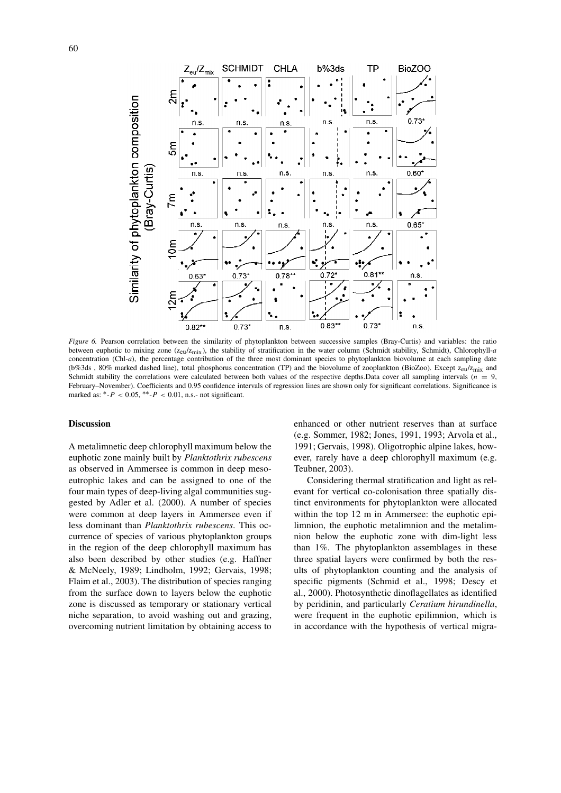

*Figure 6.* Pearson correlation between the similarity of phytoplankton between successive samples (Bray-Curtis) and variables: the ratio between euphotic to mixing zone (zeu/zmix), the stability of stratification in the water column (Schmidt stability, Schmidt), Chlorophyll-*a* concentration (Chl-*a*), the percentage contribution of the three most dominant species to phytoplankton biovolume at each sampling date (b%3ds, 80% marked dashed line), total phosphorus concentration (TP) and the biovolume of zooplankton (BioZoo). Except  $z_{\text{eu}}/z_{\text{mix}}$  and Schmidt stability the correlations were calculated between both values of the respective depths.Data cover all sampling intervals (*n* = 9, February–November). Coefficients and 0.95 confidence intervals of regression lines are shown only for significant correlations. Significance is marked as:  $* - P < 0.05$ ,  $* - P < 0.01$ , n.s.- not significant.

#### **Discussion**

A metalimnetic deep chlorophyll maximum below the euphotic zone mainly built by *Planktothrix rubescens* as observed in Ammersee is common in deep mesoeutrophic lakes and can be assigned to one of the four main types of deep-living algal communities suggested by Adler et al. (2000). A number of species were common at deep layers in Ammersee even if less dominant than *Planktothrix rubescens*. This occurrence of species of various phytoplankton groups in the region of the deep chlorophyll maximum has also been described by other studies (e.g. Haffner & McNeely, 1989; Lindholm, 1992; Gervais, 1998; Flaim et al., 2003). The distribution of species ranging from the surface down to layers below the euphotic zone is discussed as temporary or stationary vertical niche separation, to avoid washing out and grazing, overcoming nutrient limitation by obtaining access to

enhanced or other nutrient reserves than at surface (e.g. Sommer, 1982; Jones, 1991, 1993; Arvola et al., 1991; Gervais, 1998). Oligotrophic alpine lakes, however, rarely have a deep chlorophyll maximum (e.g. Teubner, 2003).

Considering thermal stratification and light as relevant for vertical co-colonisation three spatially distinct environments for phytoplankton were allocated within the top 12 m in Ammersee: the euphotic epilimnion, the euphotic metalimnion and the metalimnion below the euphotic zone with dim-light less than 1%. The phytoplankton assemblages in these three spatial layers were confirmed by both the results of phytoplankton counting and the analysis of specific pigments (Schmid et al., 1998; Descy et al., 2000). Photosynthetic dinoflagellates as identified by peridinin, and particularly *Ceratium hirundinella*, were frequent in the euphotic epilimnion, which is in accordance with the hypothesis of vertical migra-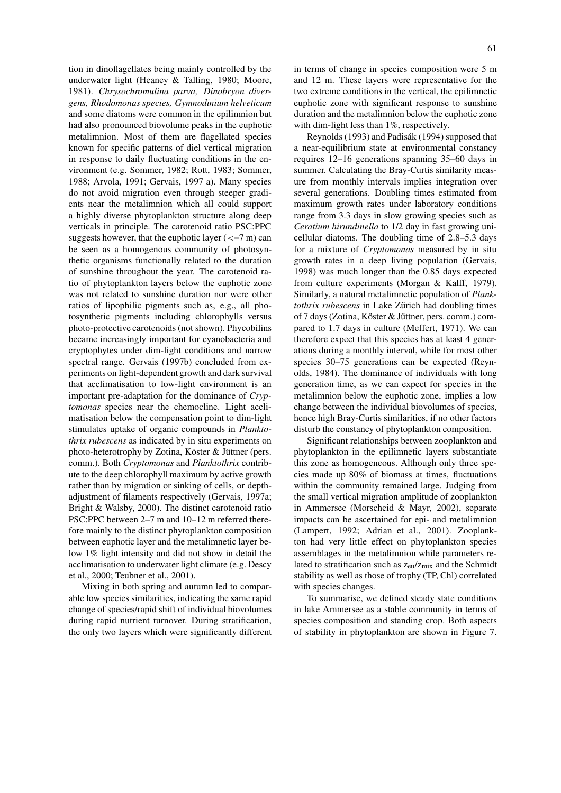tion in dinoflagellates being mainly controlled by the underwater light (Heaney & Talling, 1980; Moore, 1981). *Chrysochromulina parva, Dinobryon divergens, Rhodomonas species, Gymnodinium helveticum* and some diatoms were common in the epilimnion but had also pronounced biovolume peaks in the euphotic metalimnion. Most of them are flagellated species known for specific patterns of diel vertical migration in response to daily fluctuating conditions in the environment (e.g. Sommer, 1982; Rott, 1983; Sommer, 1988; Arvola, 1991; Gervais, 1997 a). Many species do not avoid migration even through steeper gradients near the metalimnion which all could support a highly diverse phytoplankton structure along deep verticals in principle. The carotenoid ratio PSC:PPC suggests however, that the euphotic layer (*<*=7 m) can be seen as a homogenous community of photosynthetic organisms functionally related to the duration of sunshine throughout the year. The carotenoid ratio of phytoplankton layers below the euphotic zone was not related to sunshine duration nor were other ratios of lipophilic pigments such as, e.g., all photosynthetic pigments including chlorophylls versus photo-protective carotenoids (not shown). Phycobilins became increasingly important for cyanobacteria and cryptophytes under dim-light conditions and narrow spectral range. Gervais (1997b) concluded from experiments on light-dependent growth and dark survival that acclimatisation to low-light environment is an important pre-adaptation for the dominance of *Cryptomonas* species near the chemocline. Light acclimatisation below the compensation point to dim-light stimulates uptake of organic compounds in *Planktothrix rubescens* as indicated by in situ experiments on photo-heterotrophy by Zotina, Köster & Jüttner (pers. comm.). Both *Cryptomonas* and *Planktothrix* contribute to the deep chlorophyll maximum by active growth rather than by migration or sinking of cells, or depthadjustment of filaments respectively (Gervais, 1997a; Bright & Walsby, 2000). The distinct carotenoid ratio PSC:PPC between 2–7 m and 10–12 m referred therefore mainly to the distinct phytoplankton composition between euphotic layer and the metalimnetic layer below 1% light intensity and did not show in detail the acclimatisation to underwater light climate (e.g. Descy et al., 2000; Teubner et al., 2001).

Mixing in both spring and autumn led to comparable low species similarities, indicating the same rapid change of species/rapid shift of individual biovolumes during rapid nutrient turnover. During stratification, the only two layers which were significantly different in terms of change in species composition were 5 m and 12 m. These layers were representative for the two extreme conditions in the vertical, the epilimnetic euphotic zone with significant response to sunshine duration and the metalimnion below the euphotic zone with dim-light less than 1%, respectively.

Reynolds (1993) and Padisák (1994) supposed that a near-equilibrium state at environmental constancy requires 12–16 generations spanning 35–60 days in summer. Calculating the Bray-Curtis similarity measure from monthly intervals implies integration over several generations. Doubling times estimated from maximum growth rates under laboratory conditions range from 3.3 days in slow growing species such as *Ceratium hirundinella* to 1/2 day in fast growing unicellular diatoms. The doubling time of 2.8–5.3 days for a mixture of *Cryptomonas* measured by in situ growth rates in a deep living population (Gervais, 1998) was much longer than the 0.85 days expected from culture experiments (Morgan & Kalff, 1979). Similarly, a natural metalimnetic population of *Planktothrix rubescens* in Lake Zürich had doubling times of 7 days (Zotina, Köster & Jüttner, pers. comm.) compared to 1.7 days in culture (Meffert, 1971). We can therefore expect that this species has at least 4 generations during a monthly interval, while for most other species 30–75 generations can be expected (Reynolds, 1984). The dominance of individuals with long generation time, as we can expect for species in the metalimnion below the euphotic zone, implies a low change between the individual biovolumes of species, hence high Bray-Curtis similarities, if no other factors disturb the constancy of phytoplankton composition.

Significant relationships between zooplankton and phytoplankton in the epilimnetic layers substantiate this zone as homogeneous. Although only three species made up 80% of biomass at times, fluctuations within the community remained large. Judging from the small vertical migration amplitude of zooplankton in Ammersee (Morscheid & Mayr, 2002), separate impacts can be ascertained for epi- and metalimnion (Lampert, 1992; Adrian et al., 2001). Zooplankton had very little effect on phytoplankton species assemblages in the metalimnion while parameters related to stratification such as  $z_{eu}/z_{mix}$  and the Schmidt stability as well as those of trophy (TP, Chl) correlated with species changes.

To summarise, we defined steady state conditions in lake Ammersee as a stable community in terms of species composition and standing crop. Both aspects of stability in phytoplankton are shown in Figure 7.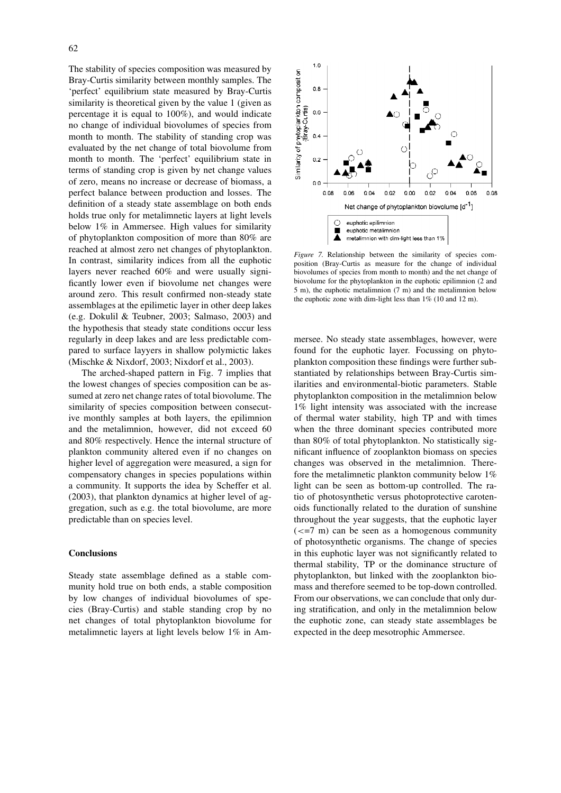The stability of species composition was measured by Bray-Curtis similarity between monthly samples. The 'perfect' equilibrium state measured by Bray-Curtis similarity is theoretical given by the value 1 (given as percentage it is equal to 100%), and would indicate no change of individual biovolumes of species from month to month. The stability of standing crop was evaluated by the net change of total biovolume from month to month. The 'perfect' equilibrium state in terms of standing crop is given by net change values of zero, means no increase or decrease of biomass, a perfect balance between production and losses. The definition of a steady state assemblage on both ends holds true only for metalimnetic layers at light levels below 1% in Ammersee. High values for similarity of phytoplankton composition of more than 80% are reached at almost zero net changes of phytoplankton. In contrast, similarity indices from all the euphotic layers never reached 60% and were usually significantly lower even if biovolume net changes were around zero. This result confirmed non-steady state assemblages at the epilimetic layer in other deep lakes (e.g. Dokulil & Teubner, 2003; Salmaso, 2003) and the hypothesis that steady state conditions occur less regularly in deep lakes and are less predictable compared to surface layyers in shallow polymictic lakes (Mischke & Nixdorf, 2003; Nixdorf et al., 2003).

The arched-shaped pattern in Fig. 7 implies that the lowest changes of species composition can be assumed at zero net change rates of total biovolume. The similarity of species composition between consecutive monthly samples at both layers, the epilimnion and the metalimnion, however, did not exceed 60 and 80% respectively. Hence the internal structure of plankton community altered even if no changes on higher level of aggregation were measured, a sign for compensatory changes in species populations within a community. It supports the idea by Scheffer et al. (2003), that plankton dynamics at higher level of aggregation, such as e.g. the total biovolume, are more predictable than on species level.

### **Conclusions**

Steady state assemblage defined as a stable community hold true on both ends, a stable composition by low changes of individual biovolumes of species (Bray-Curtis) and stable standing crop by no net changes of total phytoplankton biovolume for metalimnetic layers at light levels below 1% in Am-



*Figure 7.* Relationship between the similarity of species composition (Bray-Curtis as measure for the change of individual biovolumes of species from month to month) and the net change of biovolume for the phytoplankton in the euphotic epilimnion (2 and 5 m), the euphotic metalimnion (7 m) and the metalimnion below the euphotic zone with dim-light less than 1% (10 and 12 m).

mersee. No steady state assemblages, however, were found for the euphotic layer. Focussing on phytoplankton composition these findings were further substantiated by relationships between Bray-Curtis similarities and environmental-biotic parameters. Stable phytoplankton composition in the metalimnion below 1% light intensity was associated with the increase of thermal water stability, high TP and with times when the three dominant species contributed more than 80% of total phytoplankton. No statistically significant influence of zooplankton biomass on species changes was observed in the metalimnion. Therefore the metalimnetic plankton community below 1% light can be seen as bottom-up controlled. The ratio of photosynthetic versus photoprotective carotenoids functionally related to the duration of sunshine throughout the year suggests, that the euphotic layer (*<*=7 m) can be seen as a homogenous community of photosynthetic organisms. The change of species in this euphotic layer was not significantly related to thermal stability, TP or the dominance structure of phytoplankton, but linked with the zooplankton biomass and therefore seemed to be top-down controlled. From our observations, we can conclude that only during stratification, and only in the metalimnion below the euphotic zone, can steady state assemblages be expected in the deep mesotrophic Ammersee.